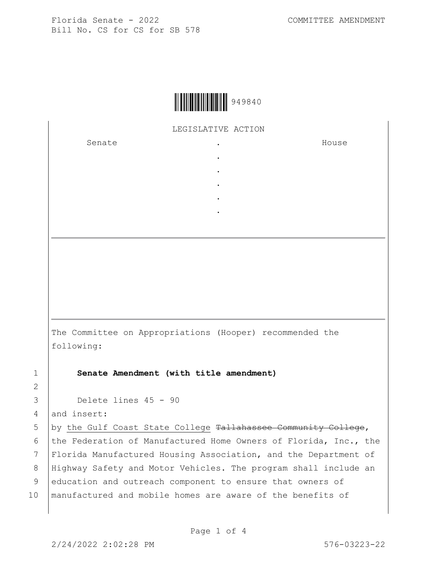

LEGISLATIVE ACTION

. . . . .

Senate .

House

The Committee on Appropriations (Hooper) recommended the following:

1 **Senate Amendment (with title amendment)**

3 Delete lines 45 - 90

4 and insert:

2

5 by the Gulf Coast State College Tallahassee Community College, 6 the Federation of Manufactured Home Owners of Florida, Inc., the 7 Florida Manufactured Housing Association, and the Department of 8 Highway Safety and Motor Vehicles. The program shall include an 9 education and outreach component to ensure that owners of 10 | manufactured and mobile homes are aware of the benefits of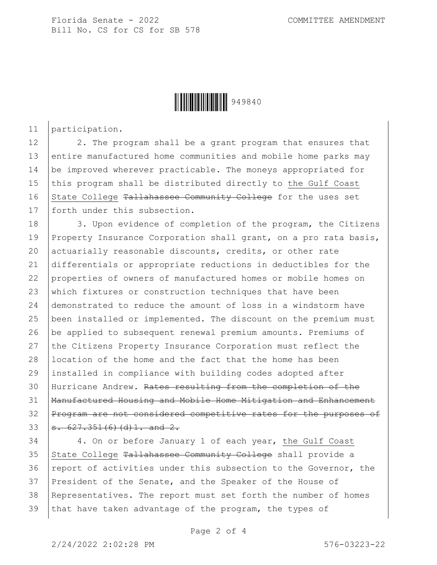Florida Senate - 2022 COMMITTEE AMENDMENT Bill No. CS for CS for SB 578



11 participation.

12 2. The program shall be a grant program that ensures that 13 entire manufactured home communities and mobile home parks may 14 be improved wherever practicable. The moneys appropriated for 15 this program shall be distributed directly to the Gulf Coast 16 State College Tallahassee Community College for the uses set 17 forth under this subsection.

18 3. Upon evidence of completion of the program, the Citizens 19 Property Insurance Corporation shall grant, on a pro rata basis, 20 actuarially reasonable discounts, credits, or other rate differentials or appropriate reductions in deductibles for the properties of owners of manufactured homes or mobile homes on 23 which fixtures or construction techniques that have been demonstrated to reduce the amount of loss in a windstorm have been installed or implemented. The discount on the premium must be applied to subsequent renewal premium amounts. Premiums of 27 the Citizens Property Insurance Corporation must reflect the 28 location of the home and the fact that the home has been installed in compliance with building codes adopted after Hurricane Andrew. Rates resulting from the completion of the Manufactured Housing and Mobile Home Mitigation and Enhancement Program are not considered competitive rates for the purposes of s. 627.351(6)(d)1. and 2.

34 4. On or before January 1 of each year, the Gulf Coast 35 State College Tallahassee Community College shall provide a 36 report of activities under this subsection to the Governor, the 37 President of the Senate, and the Speaker of the House of 38 Representatives. The report must set forth the number of homes 39 that have taken advantage of the program, the types of

Page 2 of 4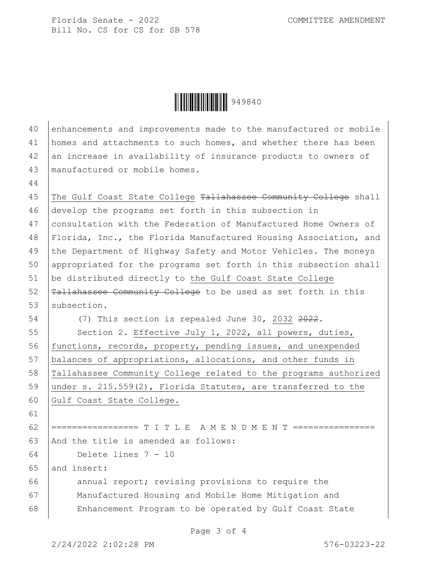Florida Senate - 2022 COMMITTEE AMENDMENT Bill No. CS for CS for SB 578

**││││││││││││││││** 949840

| 40 | enhancements and improvements made to the manufactured or mobile |
|----|------------------------------------------------------------------|
| 41 | homes and attachments to such homes, and whether there has been  |
| 42 | an increase in availability of insurance products to owners of   |
| 43 | manufactured or mobile homes.                                    |
| 44 |                                                                  |
| 45 | The Gulf Coast State College Tallahassee Community College shall |
| 46 | develop the programs set forth in this subsection in             |
| 47 | consultation with the Federation of Manufactured Home Owners of  |
| 48 | Florida, Inc., the Florida Manufactured Housing Association, and |
| 49 | the Department of Highway Safety and Motor Vehicles. The moneys  |
| 50 | appropriated for the programs set forth in this subsection shall |
| 51 | be distributed directly to the Gulf Coast State College          |
| 52 | Tallahassee Community College to be used as set forth in this    |
| 53 | subsection.                                                      |
| 54 | (7) This section is repealed June 30, 2032 2022.                 |
| 55 | Section 2. Effective July 1, 2022, all powers, duties,           |
| 56 | functions, records, property, pending issues, and unexpended     |
| 57 | balances of appropriations, allocations, and other funds in      |
| 58 | Tallahassee Community College related to the programs authorized |
| 59 | under s. $215.559(2)$ , Florida Statutes, are transferred to the |
| 60 | Gulf Coast State College.                                        |
| 61 |                                                                  |
| 62 |                                                                  |
| 63 | And the title is amended as follows:                             |
| 64 | Delete lines 7 - 10                                              |
| 65 | and insert:                                                      |
| 66 | annual report; revising provisions to require the                |
| 67 | Manufactured Housing and Mobile Home Mitigation and              |
| 68 | Enhancement Program to be operated by Gulf Coast State           |
|    |                                                                  |